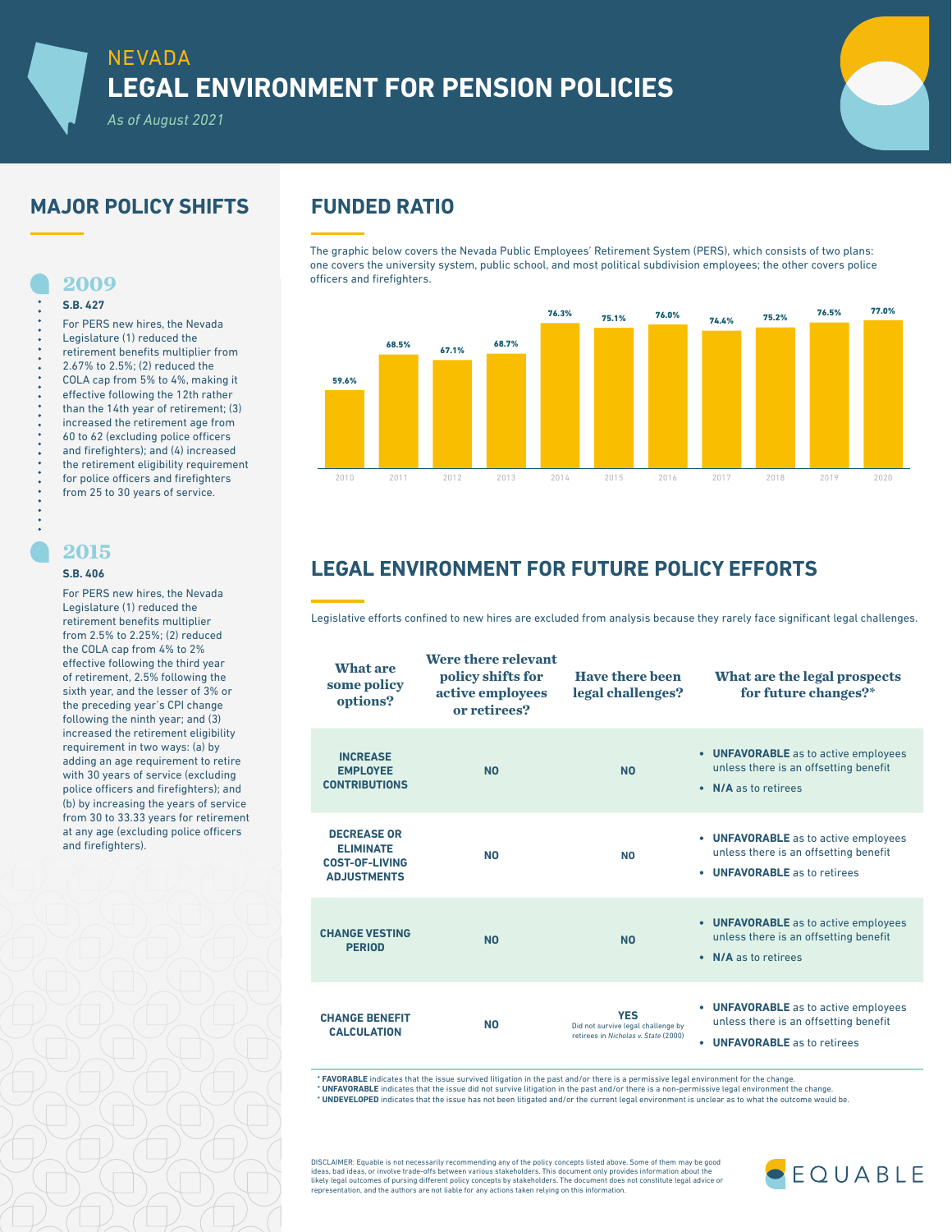# NEVADA **LEGAL ENVIRONMENT FOR PENSION POLICIES**

*As of August 2021*

# **MAJOR POLICY SHIFTS FUNDED RATIO**

For PERS new hires, the Nevada Legislature (1) reduced the retirement benefits multiplier from 2.67% to 2.5%; (2) reduced the COLA cap from 5% to 4%, making it effective following the 12th rather than the 14th year of retirement; (3) increased the retirement age from 60 to 62 (excluding police officers and firefighters); and (4) increased the retirement eligibility requirement for police officers and firefighters from 25 to 30 years of service.

The graphic below covers the Nevada Public Employees' Retirement System (PERS), which consists of two plans: one covers the university system, public school, and most political subdivision employees; the other covers police officers and firefighters.



# **LEGAL ENVIRONMENT FOR FUTURE POLICY EFFORTS**

Legislative efforts confined to new hires are excluded from analysis because they rarely face significant legal challenges.

| What are<br>some policy<br>options?                                                   | Were there relevant<br>policy shifts for<br>active employees<br>or retirees? | <b>Have there been</b><br>legal challenges?                                               | What are the legal prospects<br>for future changes?*                                                               |
|---------------------------------------------------------------------------------------|------------------------------------------------------------------------------|-------------------------------------------------------------------------------------------|--------------------------------------------------------------------------------------------------------------------|
| <b>INCREASE</b><br><b>EMPLOYEE</b><br><b>CONTRIBUTIONS</b>                            | <b>NO</b>                                                                    | <b>NO</b>                                                                                 | • UNFAVORABLE as to active employees<br>unless there is an offsetting benefit<br>• N/A as to retirees              |
| <b>DECREASE OR</b><br><b>ELIMINATE</b><br><b>COST-OF-LIVING</b><br><b>ADJUSTMENTS</b> | <b>NO</b>                                                                    | <b>NO</b>                                                                                 | • UNFAVORABLE as to active employees<br>unless there is an offsetting benefit<br>• UNFAVORABLE as to retirees      |
| <b>CHANGE VESTING</b><br><b>PERIOD</b>                                                | <b>NO</b>                                                                    | <b>NO</b>                                                                                 | • UNFAVORABLE as to active employees<br>unless there is an offsetting benefit<br>• N/A as to retirees              |
| <b>CHANGE BENEFIT</b><br><b>CALCULATION</b>                                           | <b>NO</b>                                                                    | <b>YES</b><br>Did not survive legal challenge by<br>retirees in Nicholas v. State (2000). | • UNFAVORABLE as to active employees<br>unless there is an offsetting benefit<br><b>UNFAVORABLE</b> as to retirees |

\* **FAVORABLE** indicates that the issue survived litigation in the past and/or there is a permissive legal environment for the change. \* **UNFAVORABLE** indicates that the issue did not survive litigation in the past and/or there is a non-permissive legal environment the change.

\* **UNDEVELOPED** indicates that the issue has not been litigated and/or the current legal environment is unclear as to what the outcome would be.

DISCLAIMER: Equable is not necessarily recommending any of the policy concepts listed above. Some of them may be good<br>ideas, bad ideas, or involve trade-offs between various stakeholders. This document only provides inform likely legal outcomes of pursing different policy concepts by stakeholders. The document does not constitute legal advice or representation, and the authors are not liable for any actions taken relying on this information.



## **2015**

**2009 S.B. 427** 

### **S.B. 406**

For PERS new hires, the Nevada Legislature (1) reduced the retirement benefits multiplier from 2.5% to 2.25%; (2) reduced the COLA cap from 4% to 2% effective following the third year of retirement, 2.5% following the sixth year, and the lesser of 3% or the preceding year's CPI change following the ninth year; and (3) increased the retirement eligibility requirement in two ways: (a) by adding an age requirement to retire with 30 years of service (excluding police officers and firefighters); and (b) by increasing the years of service from 30 to 33.33 years for retirement at any age (excluding police officers and firefighters).